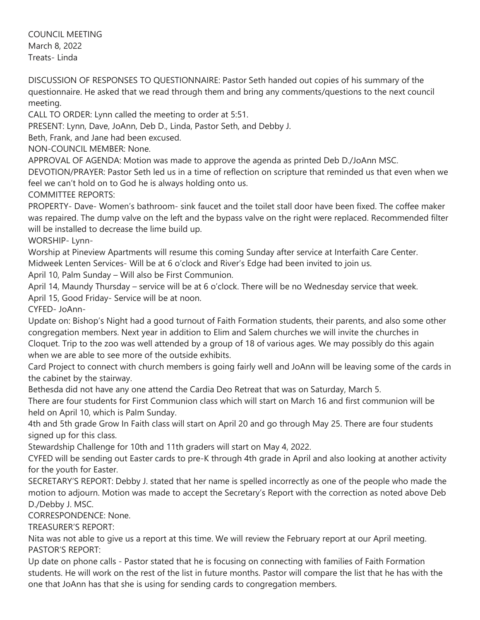COUNCIL MEETING March 8, 2022 Treats- Linda

DISCUSSION OF RESPONSES TO QUESTIONNAIRE: Pastor Seth handed out copies of his summary of the questionnaire. He asked that we read through them and bring any comments/questions to the next council meeting.

CALL TO ORDER: Lynn called the meeting to order at 5:51.

PRESENT: Lynn, Dave, JoAnn, Deb D., Linda, Pastor Seth, and Debby J.

Beth, Frank, and Jane had been excused.

NON-COUNCIL MEMBER: None.

APPROVAL OF AGENDA: Motion was made to approve the agenda as printed Deb D./JoAnn MSC.

DEVOTION/PRAYER: Pastor Seth led us in a time of reflection on scripture that reminded us that even when we feel we can't hold on to God he is always holding onto us.

COMMITTEE REPORTS:

PROPERTY- Dave- Women's bathroom- sink faucet and the toilet stall door have been fixed. The coffee maker was repaired. The dump valve on the left and the bypass valve on the right were replaced. Recommended filter will be installed to decrease the lime build up.

WORSHIP- Lynn-

Worship at Pineview Apartments will resume this coming Sunday after service at Interfaith Care Center. Midweek Lenten Services- Will be at 6 o'clock and River's Edge had been invited to join us.

April 10, Palm Sunday – Will also be First Communion.

April 14, Maundy Thursday – service will be at 6 o'clock. There will be no Wednesday service that week.

April 15, Good Friday- Service will be at noon.

CYFED- JoAnn-

Update on: Bishop's Night had a good turnout of Faith Formation students, their parents, and also some other congregation members. Next year in addition to Elim and Salem churches we will invite the churches in

Cloquet. Trip to the zoo was well attended by a group of 18 of various ages. We may possibly do this again when we are able to see more of the outside exhibits.

Card Project to connect with church members is going fairly well and JoAnn will be leaving some of the cards in the cabinet by the stairway.

Bethesda did not have any one attend the Cardia Deo Retreat that was on Saturday, March 5.

There are four students for First Communion class which will start on March 16 and first communion will be held on April 10, which is Palm Sunday.

4th and 5th grade Grow In Faith class will start on April 20 and go through May 25. There are four students signed up for this class.

Stewardship Challenge for 10th and 11th graders will start on May 4, 2022.

CYFED will be sending out Easter cards to pre-K through 4th grade in April and also looking at another activity for the youth for Easter.

SECRETARY'S REPORT: Debby J. stated that her name is spelled incorrectly as one of the people who made the motion to adjourn. Motion was made to accept the Secretary's Report with the correction as noted above Deb D./Debby J. MSC.

CORRESPONDENCE: None.

TREASURER'S REPORT:

Nita was not able to give us a report at this time. We will review the February report at our April meeting. PASTOR'S REPORT:

Up date on phone calls - Pastor stated that he is focusing on connecting with families of Faith Formation students. He will work on the rest of the list in future months. Pastor will compare the list that he has with the one that JoAnn has that she is using for sending cards to congregation members.